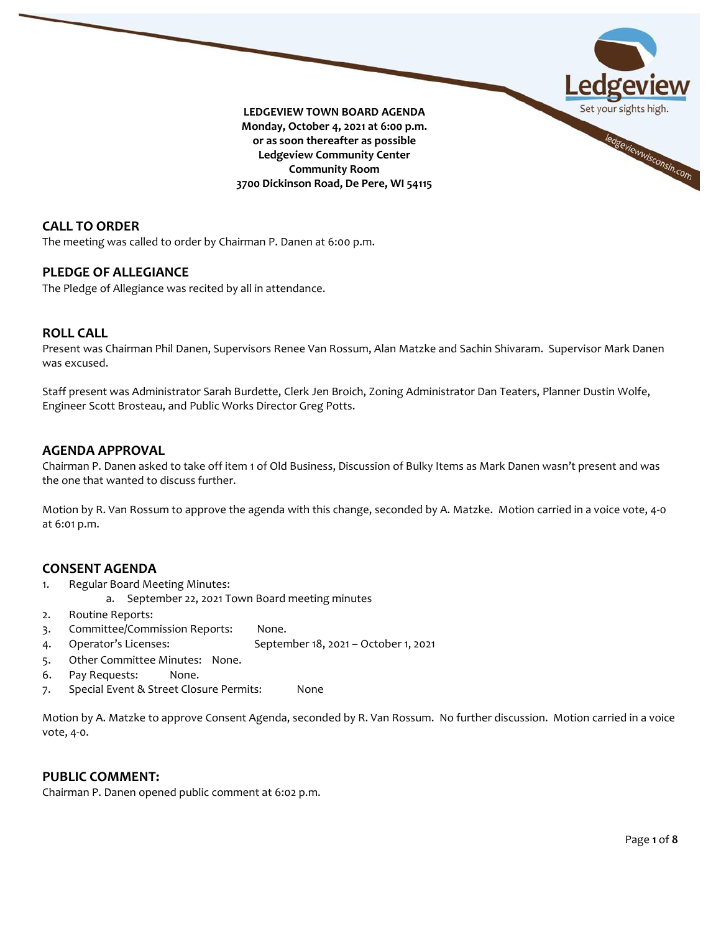

**CALL TO ORDER**

The meeting was called to order by Chairman P. Danen at 6:00 p.m.

## **PLEDGE OF ALLEGIANCE**

The Pledge of Allegiance was recited by all in attendance.

## **ROLL CALL**

Present was Chairman Phil Danen, Supervisors Renee Van Rossum, Alan Matzke and Sachin Shivaram. Supervisor Mark Danen was excused.

Staff present was Administrator Sarah Burdette, Clerk Jen Broich, Zoning Administrator Dan Teaters, Planner Dustin Wolfe, Engineer Scott Brosteau, and Public Works Director Greg Potts.

## **AGENDA APPROVAL**

Chairman P. Danen asked to take off item 1 of Old Business, Discussion of Bulky Items as Mark Danen wasn't present and was the one that wanted to discuss further.

Motion by R. Van Rossum to approve the agenda with this change, seconded by A. Matzke. Motion carried in a voice vote, 4-0 at 6:01 p.m.

## **CONSENT AGENDA**

- 1. Regular Board Meeting Minutes:
- a. September 22, 2021 Town Board meeting minutes
- 2. Routine Reports:
- 3. Committee/Commission Reports: None.
- 4. Operator's Licenses: September 18, 2021 October 1, 2021
- 5. Other Committee Minutes: None.
- 6. Pay Requests: None.
- 7. Special Event & Street Closure Permits: None

Motion by A. Matzke to approve Consent Agenda, seconded by R. Van Rossum. No further discussion. Motion carried in a voice vote, 4-0.

# **PUBLIC COMMENT:**

Chairman P. Danen opened public comment at 6:02 p.m.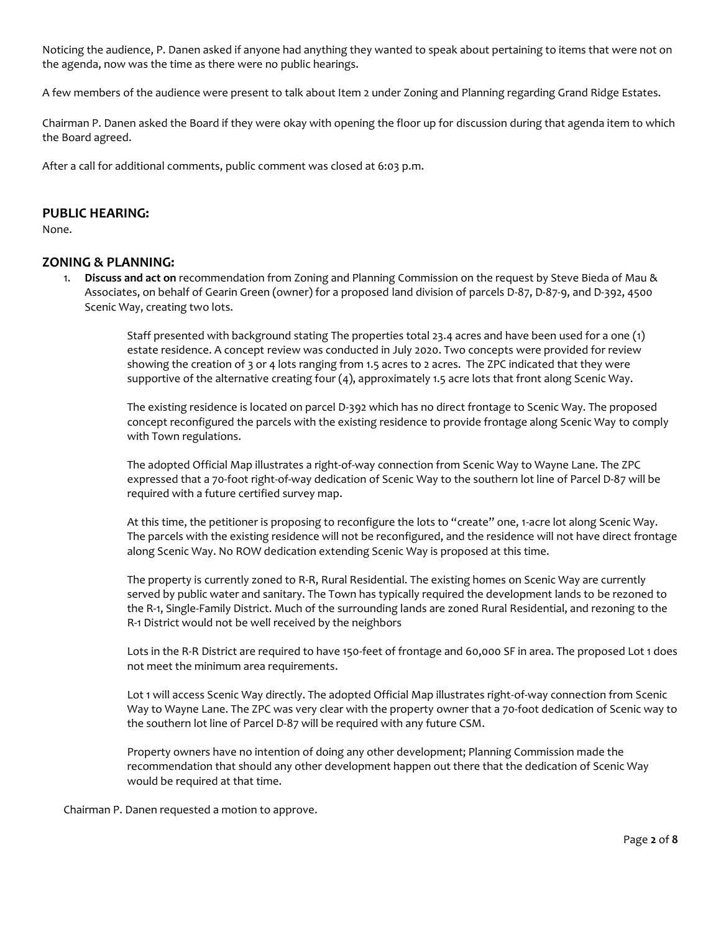Noticing the audience, P. Danen asked if anyone had anything they wanted to speak about pertaining to items that were not on the agenda, now was the time as there were no public hearings.

A few members of the audience were present to talk about Item 2 under Zoning and Planning regarding Grand Ridge Estates.

Chairman P. Danen asked the Board if they were okay with opening the floor up for discussion during that agenda item to which the Board agreed.

After a call for additional comments, public comment was closed at 6:03 p.m.

## **PUBLIC HEARING:**

None.

## **ZONING & PLANNING:**

1. **Discuss and act on** recommendation from Zoning and Planning Commission on the request by Steve Bieda of Mau & Associates, on behalf of Gearin Green (owner) for a proposed land division of parcels D-87, D-87-9, and D-392, 4500 Scenic Way, creating two lots.

> Staff presented with background stating The properties total 23.4 acres and have been used for a one (1) estate residence. A concept review was conducted in July 2020. Two concepts were provided for review showing the creation of 3 or 4 lots ranging from 1.5 acres to 2 acres. The ZPC indicated that they were supportive of the alternative creating four (4), approximately 1.5 acre lots that front along Scenic Way.

The existing residence is located on parcel D-392 which has no direct frontage to Scenic Way. The proposed concept reconfigured the parcels with the existing residence to provide frontage along Scenic Way to comply with Town regulations.

The adopted Official Map illustrates a right-of-way connection from Scenic Way to Wayne Lane. The ZPC expressed that a 70-foot right-of-way dedication of Scenic Way to the southern lot line of Parcel D-87 will be required with a future certified survey map.

At this time, the petitioner is proposing to reconfigure the lots to "create" one, 1-acre lot along Scenic Way. The parcels with the existing residence will not be reconfigured, and the residence will not have direct frontage along Scenic Way. No ROW dedication extending Scenic Way is proposed at this time.

The property is currently zoned to R-R, Rural Residential. The existing homes on Scenic Way are currently served by public water and sanitary. The Town has typically required the development lands to be rezoned to the R-1, Single-Family District. Much of the surrounding lands are zoned Rural Residential, and rezoning to the R-1 District would not be well received by the neighbors

Lots in the R-R District are required to have 150-feet of frontage and 60,000 SF in area. The proposed Lot 1 does not meet the minimum area requirements.

Lot 1 will access Scenic Way directly. The adopted Official Map illustrates right-of-way connection from Scenic Way to Wayne Lane. The ZPC was very clear with the property owner that a 70-foot dedication of Scenic way to the southern lot line of Parcel D-87 will be required with any future CSM.

Property owners have no intention of doing any other development; Planning Commission made the recommendation that should any other development happen out there that the dedication of Scenic Way would be required at that time.

Chairman P. Danen requested a motion to approve.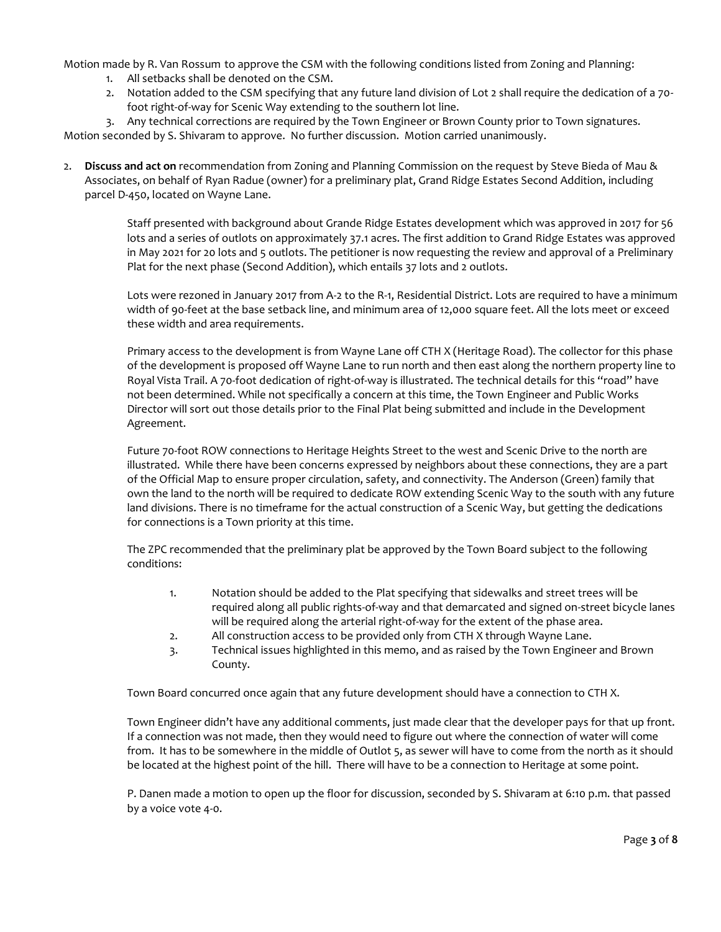Motion made by R. Van Rossum to approve the CSM with the following conditions listed from Zoning and Planning:

- 1. All setbacks shall be denoted on the CSM.
- 2. Notation added to the CSM specifying that any future land division of Lot 2 shall require the dedication of a 70 foot right-of-way for Scenic Way extending to the southern lot line.

3. Any technical corrections are required by the Town Engineer or Brown County prior to Town signatures. Motion seconded by S. Shivaram to approve. No further discussion. Motion carried unanimously.

2. **Discuss and act on** recommendation from Zoning and Planning Commission on the request by Steve Bieda of Mau & Associates, on behalf of Ryan Radue (owner) for a preliminary plat, Grand Ridge Estates Second Addition, including parcel D-450, located on Wayne Lane.

> Staff presented with background about Grande Ridge Estates development which was approved in 2017 for 56 lots and a series of outlots on approximately 37.1 acres. The first addition to Grand Ridge Estates was approved in May 2021 for 20 lots and 5 outlots. The petitioner is now requesting the review and approval of a Preliminary Plat for the next phase (Second Addition), which entails 37 lots and 2 outlots.

> Lots were rezoned in January 2017 from A-2 to the R-1, Residential District. Lots are required to have a minimum width of 90-feet at the base setback line, and minimum area of 12,000 square feet. All the lots meet or exceed these width and area requirements.

> Primary access to the development is from Wayne Lane off CTH X (Heritage Road). The collector for this phase of the development is proposed off Wayne Lane to run north and then east along the northern property line to Royal Vista Trail. A 70-foot dedication of right-of-way is illustrated. The technical details for this "road" have not been determined. While not specifically a concern at this time, the Town Engineer and Public Works Director will sort out those details prior to the Final Plat being submitted and include in the Development Agreement.

> Future 70-foot ROW connections to Heritage Heights Street to the west and Scenic Drive to the north are illustrated. While there have been concerns expressed by neighbors about these connections, they are a part of the Official Map to ensure proper circulation, safety, and connectivity. The Anderson (Green) family that own the land to the north will be required to dedicate ROW extending Scenic Way to the south with any future land divisions. There is no timeframe for the actual construction of a Scenic Way, but getting the dedications for connections is a Town priority at this time.

The ZPC recommended that the preliminary plat be approved by the Town Board subject to the following conditions:

- 1. Notation should be added to the Plat specifying that sidewalks and street trees will be required along all public rights-of-way and that demarcated and signed on-street bicycle lanes will be required along the arterial right-of-way for the extent of the phase area.
- 2. All construction access to be provided only from CTH X through Wayne Lane.
- 3. Technical issues highlighted in this memo, and as raised by the Town Engineer and Brown County.

Town Board concurred once again that any future development should have a connection to CTH X.

Town Engineer didn't have any additional comments, just made clear that the developer pays for that up front. If a connection was not made, then they would need to figure out where the connection of water will come from. It has to be somewhere in the middle of Outlot 5, as sewer will have to come from the north as it should be located at the highest point of the hill. There will have to be a connection to Heritage at some point.

P. Danen made a motion to open up the floor for discussion, seconded by S. Shivaram at 6:10 p.m. that passed by a voice vote 4-0.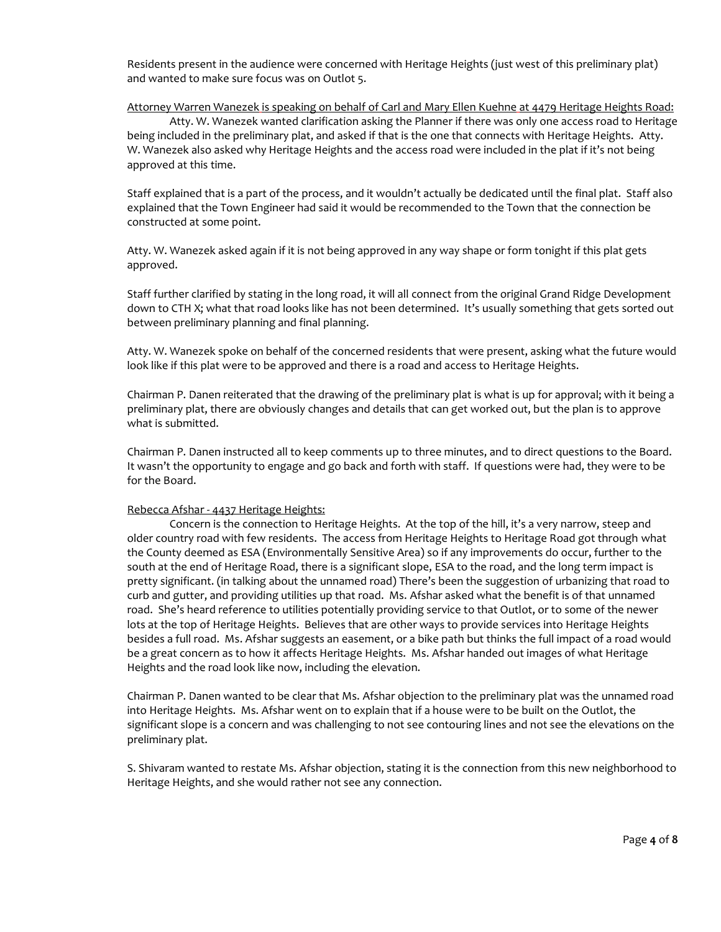Residents present in the audience were concerned with Heritage Heights (just west of this preliminary plat) and wanted to make sure focus was on Outlot 5.

### Attorney Warren Wanezek is speaking on behalf of Carl and Mary Ellen Kuehne at 4479 Heritage Heights Road:

Atty. W. Wanezek wanted clarification asking the Planner if there was only one access road to Heritage being included in the preliminary plat, and asked if that is the one that connects with Heritage Heights. Atty. W. Wanezek also asked why Heritage Heights and the access road were included in the plat if it's not being approved at this time.

Staff explained that is a part of the process, and it wouldn't actually be dedicated until the final plat. Staff also explained that the Town Engineer had said it would be recommended to the Town that the connection be constructed at some point.

Atty. W. Wanezek asked again if it is not being approved in any way shape or form tonight if this plat gets approved.

Staff further clarified by stating in the long road, it will all connect from the original Grand Ridge Development down to CTH X; what that road looks like has not been determined. It's usually something that gets sorted out between preliminary planning and final planning.

Atty. W. Wanezek spoke on behalf of the concerned residents that were present, asking what the future would look like if this plat were to be approved and there is a road and access to Heritage Heights.

Chairman P. Danen reiterated that the drawing of the preliminary plat is what is up for approval; with it being a preliminary plat, there are obviously changes and details that can get worked out, but the plan is to approve what is submitted.

Chairman P. Danen instructed all to keep comments up to three minutes, and to direct questions to the Board. It wasn't the opportunity to engage and go back and forth with staff. If questions were had, they were to be for the Board.

#### Rebecca Afshar - 4437 Heritage Heights:

Concern is the connection to Heritage Heights. At the top of the hill, it's a very narrow, steep and older country road with few residents. The access from Heritage Heights to Heritage Road got through what the County deemed as ESA (Environmentally Sensitive Area) so if any improvements do occur, further to the south at the end of Heritage Road, there is a significant slope, ESA to the road, and the long term impact is pretty significant. (in talking about the unnamed road) There's been the suggestion of urbanizing that road to curb and gutter, and providing utilities up that road. Ms. Afshar asked what the benefit is of that unnamed road. She's heard reference to utilities potentially providing service to that Outlot, or to some of the newer lots at the top of Heritage Heights. Believes that are other ways to provide services into Heritage Heights besides a full road. Ms. Afshar suggests an easement, or a bike path but thinks the full impact of a road would be a great concern as to how it affects Heritage Heights. Ms. Afshar handed out images of what Heritage Heights and the road look like now, including the elevation.

Chairman P. Danen wanted to be clear that Ms. Afshar objection to the preliminary plat was the unnamed road into Heritage Heights. Ms. Afshar went on to explain that if a house were to be built on the Outlot, the significant slope is a concern and was challenging to not see contouring lines and not see the elevations on the preliminary plat.

S. Shivaram wanted to restate Ms. Afshar objection, stating it is the connection from this new neighborhood to Heritage Heights, and she would rather not see any connection.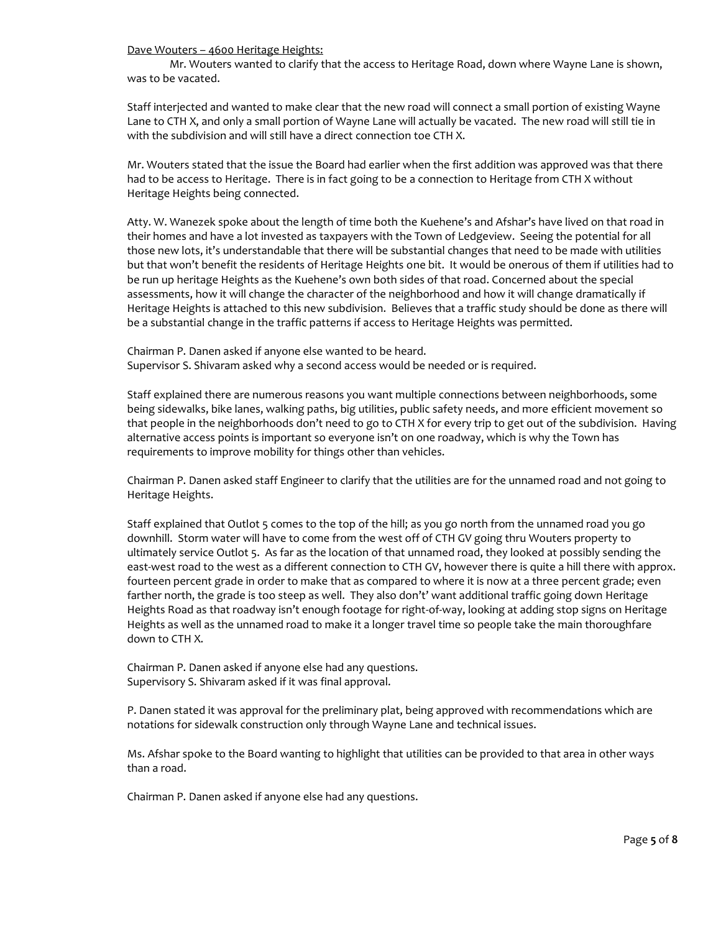Dave Wouters – 4600 Heritage Heights:

Mr. Wouters wanted to clarify that the access to Heritage Road, down where Wayne Lane is shown, was to be vacated.

Staff interjected and wanted to make clear that the new road will connect a small portion of existing Wayne Lane to CTH X, and only a small portion of Wayne Lane will actually be vacated. The new road will still tie in with the subdivision and will still have a direct connection toe CTH X.

Mr. Wouters stated that the issue the Board had earlier when the first addition was approved was that there had to be access to Heritage. There is in fact going to be a connection to Heritage from CTH X without Heritage Heights being connected.

Atty. W. Wanezek spoke about the length of time both the Kuehene's and Afshar's have lived on that road in their homes and have a lot invested as taxpayers with the Town of Ledgeview. Seeing the potential for all those new lots, it's understandable that there will be substantial changes that need to be made with utilities but that won't benefit the residents of Heritage Heights one bit. It would be onerous of them if utilities had to be run up heritage Heights as the Kuehene's own both sides of that road. Concerned about the special assessments, how it will change the character of the neighborhood and how it will change dramatically if Heritage Heights is attached to this new subdivision. Believes that a traffic study should be done as there will be a substantial change in the traffic patterns if access to Heritage Heights was permitted.

Chairman P. Danen asked if anyone else wanted to be heard. Supervisor S. Shivaram asked why a second access would be needed or is required.

Staff explained there are numerous reasons you want multiple connections between neighborhoods, some being sidewalks, bike lanes, walking paths, big utilities, public safety needs, and more efficient movement so that people in the neighborhoods don't need to go to CTH X for every trip to get out of the subdivision. Having alternative access points is important so everyone isn't on one roadway, which is why the Town has requirements to improve mobility for things other than vehicles.

Chairman P. Danen asked staff Engineer to clarify that the utilities are for the unnamed road and not going to Heritage Heights.

Staff explained that Outlot 5 comes to the top of the hill; as you go north from the unnamed road you go downhill. Storm water will have to come from the west off of CTH GV going thru Wouters property to ultimately service Outlot 5. As far as the location of that unnamed road, they looked at possibly sending the east-west road to the west as a different connection to CTH GV, however there is quite a hill there with approx. fourteen percent grade in order to make that as compared to where it is now at a three percent grade; even farther north, the grade is too steep as well. They also don't' want additional traffic going down Heritage Heights Road as that roadway isn't enough footage for right-of-way, looking at adding stop signs on Heritage Heights as well as the unnamed road to make it a longer travel time so people take the main thoroughfare down to CTH X.

Chairman P. Danen asked if anyone else had any questions. Supervisory S. Shivaram asked if it was final approval.

P. Danen stated it was approval for the preliminary plat, being approved with recommendations which are notations for sidewalk construction only through Wayne Lane and technical issues.

Ms. Afshar spoke to the Board wanting to highlight that utilities can be provided to that area in other ways than a road.

Chairman P. Danen asked if anyone else had any questions.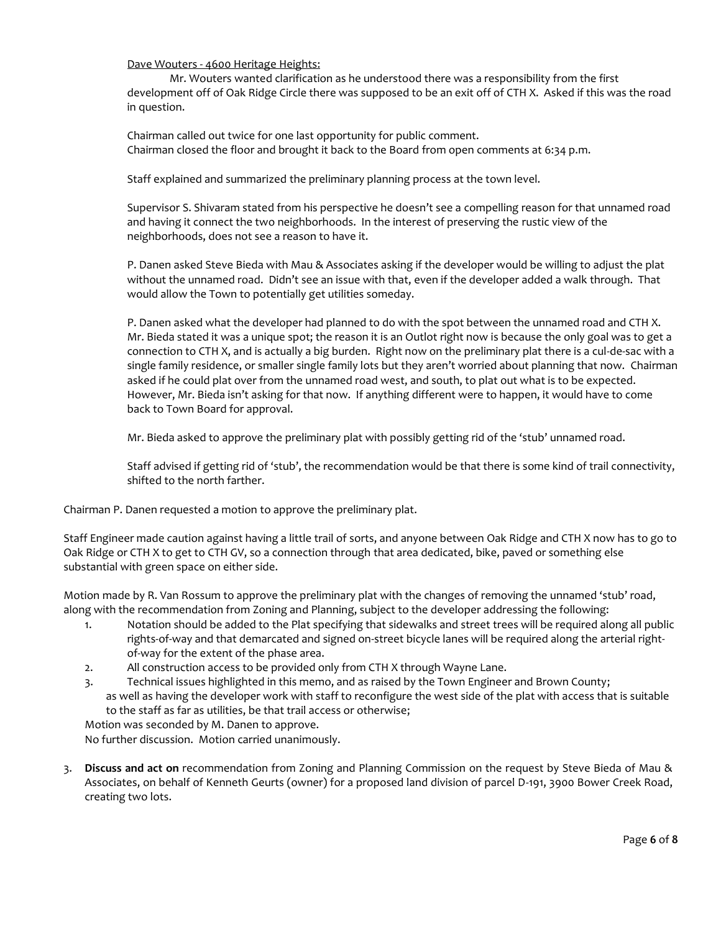Dave Wouters - 4600 Heritage Heights:

Mr. Wouters wanted clarification as he understood there was a responsibility from the first development off of Oak Ridge Circle there was supposed to be an exit off of CTH X. Asked if this was the road in question.

Chairman called out twice for one last opportunity for public comment. Chairman closed the floor and brought it back to the Board from open comments at 6:34 p.m.

Staff explained and summarized the preliminary planning process at the town level.

Supervisor S. Shivaram stated from his perspective he doesn't see a compelling reason for that unnamed road and having it connect the two neighborhoods. In the interest of preserving the rustic view of the neighborhoods, does not see a reason to have it.

P. Danen asked Steve Bieda with Mau & Associates asking if the developer would be willing to adjust the plat without the unnamed road. Didn't see an issue with that, even if the developer added a walk through. That would allow the Town to potentially get utilities someday.

P. Danen asked what the developer had planned to do with the spot between the unnamed road and CTH X. Mr. Bieda stated it was a unique spot; the reason it is an Outlot right now is because the only goal was to get a connection to CTH X, and is actually a big burden. Right now on the preliminary plat there is a cul-de-sac with a single family residence, or smaller single family lots but they aren't worried about planning that now. Chairman asked if he could plat over from the unnamed road west, and south, to plat out what is to be expected. However, Mr. Bieda isn't asking for that now. If anything different were to happen, it would have to come back to Town Board for approval.

Mr. Bieda asked to approve the preliminary plat with possibly getting rid of the 'stub' unnamed road.

Staff advised if getting rid of 'stub', the recommendation would be that there is some kind of trail connectivity, shifted to the north farther.

Chairman P. Danen requested a motion to approve the preliminary plat.

Staff Engineer made caution against having a little trail of sorts, and anyone between Oak Ridge and CTH X now has to go to Oak Ridge or CTH X to get to CTH GV, so a connection through that area dedicated, bike, paved or something else substantial with green space on either side.

Motion made by R. Van Rossum to approve the preliminary plat with the changes of removing the unnamed 'stub' road, along with the recommendation from Zoning and Planning, subject to the developer addressing the following:

- 1. Notation should be added to the Plat specifying that sidewalks and street trees will be required along all public rights-of-way and that demarcated and signed on-street bicycle lanes will be required along the arterial rightof-way for the extent of the phase area.
- 2. All construction access to be provided only from CTH X through Wayne Lane.
- 3. Technical issues highlighted in this memo, and as raised by the Town Engineer and Brown County; as well as having the developer work with staff to reconfigure the west side of the plat with access that is suitable to the staff as far as utilities, be that trail access or otherwise;

Motion was seconded by M. Danen to approve. No further discussion. Motion carried unanimously.

3. **Discuss and act on** recommendation from Zoning and Planning Commission on the request by Steve Bieda of Mau & Associates, on behalf of Kenneth Geurts (owner) for a proposed land division of parcel D-191, 3900 Bower Creek Road, creating two lots.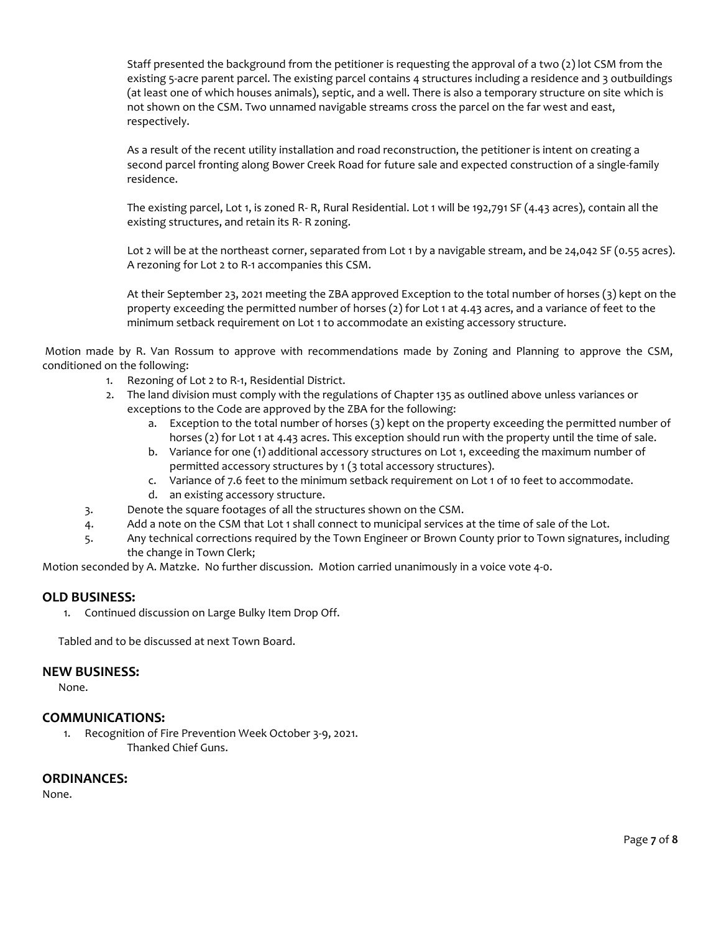Staff presented the background from the petitioner is requesting the approval of a two (2) lot CSM from the existing 5-acre parent parcel. The existing parcel contains 4 structures including a residence and 3 outbuildings (at least one of which houses animals), septic, and a well. There is also a temporary structure on site which is not shown on the CSM. Two unnamed navigable streams cross the parcel on the far west and east, respectively.

As a result of the recent utility installation and road reconstruction, the petitioner is intent on creating a second parcel fronting along Bower Creek Road for future sale and expected construction of a single-family residence.

The existing parcel, Lot 1, is zoned R- R, Rural Residential. Lot 1 will be 192,791 SF (4.43 acres), contain all the existing structures, and retain its R- R zoning.

Lot 2 will be at the northeast corner, separated from Lot 1 by a navigable stream, and be 24,042 SF (0.55 acres). A rezoning for Lot 2 to R-1 accompanies this CSM.

At their September 23, 2021 meeting the ZBA approved Exception to the total number of horses (3) kept on the property exceeding the permitted number of horses (2) for Lot 1 at 4.43 acres, and a variance of feet to the minimum setback requirement on Lot 1 to accommodate an existing accessory structure.

Motion made by R. Van Rossum to approve with recommendations made by Zoning and Planning to approve the CSM, conditioned on the following:

- 1. Rezoning of Lot 2 to R-1, Residential District.
- 2. The land division must comply with the regulations of Chapter 135 as outlined above unless variances or exceptions to the Code are approved by the ZBA for the following:
	- a. Exception to the total number of horses (3) kept on the property exceeding the permitted number of horses (2) for Lot 1 at 4.43 acres. This exception should run with the property until the time of sale.
	- b. Variance for one (1) additional accessory structures on Lot 1, exceeding the maximum number of permitted accessory structures by 1 (3 total accessory structures).
	- c. Variance of 7.6 feet to the minimum setback requirement on Lot 1 of 10 feet to accommodate.
	- d. an existing accessory structure.
- 3. Denote the square footages of all the structures shown on the CSM.
- 4. Add a note on the CSM that Lot 1 shall connect to municipal services at the time of sale of the Lot.
- 5. Any technical corrections required by the Town Engineer or Brown County prior to Town signatures, including the change in Town Clerk;

Motion seconded by A. Matzke. No further discussion. Motion carried unanimously in a voice vote 4-0.

### **OLD BUSINESS:**

1. Continued discussion on Large Bulky Item Drop Off.

Tabled and to be discussed at next Town Board.

### **NEW BUSINESS:**

None.

### **COMMUNICATIONS:**

1. Recognition of Fire Prevention Week October 3-9, 2021. Thanked Chief Guns.

### **ORDINANCES:**

None.